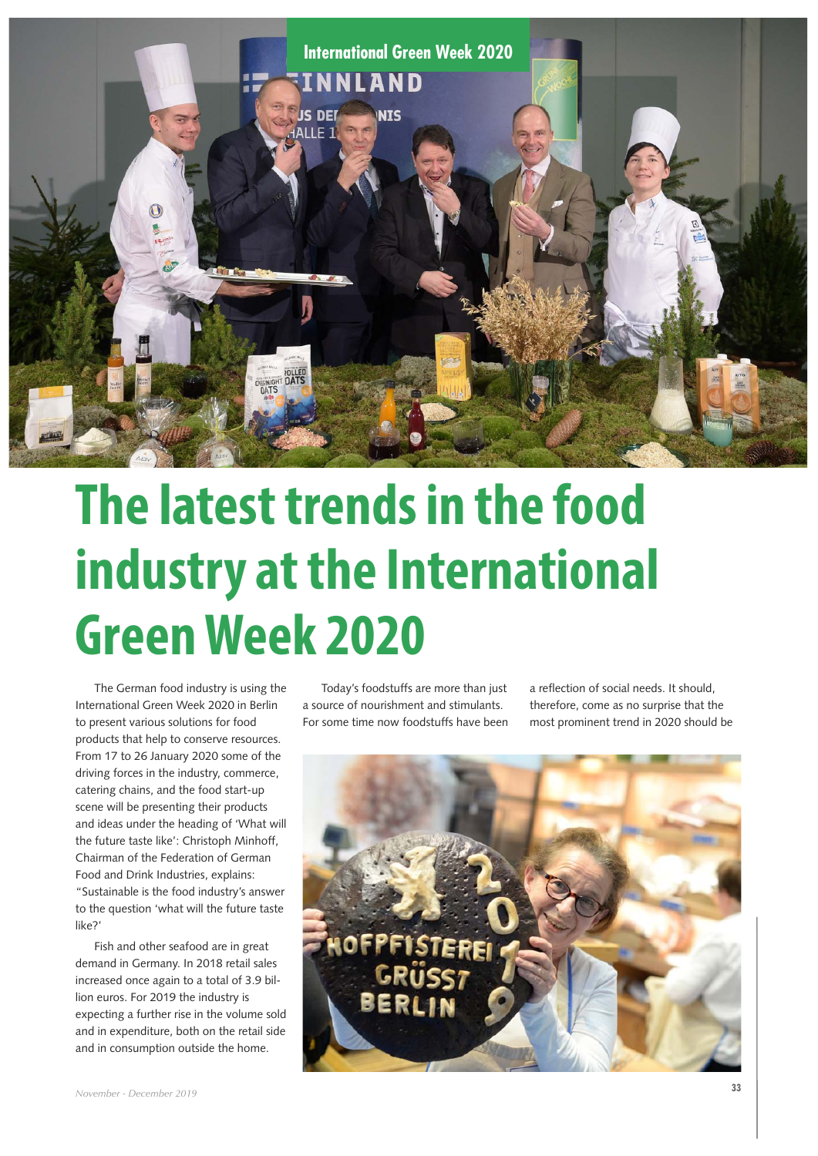

## **The latest trends in the food industry at the International Green Week 2020**

The German food industry is using the International Green Week 2020 in Berlin to present various solutions for food products that help to conserve resources. From 17 to 26 January 2020 some of the driving forces in the industry, commerce, catering chains, and the food start-up scene will be presenting their products and ideas under the heading of 'What will the future taste like': Christoph Minhoff, Chairman of the Federation of German Food and Drink Industries, explains: "Sustainable is the food industry's answer to the question 'what will the future taste like?'

Fish and other seafood are in great demand in Germany. In 2018 retail sales increased once again to a total of 3.9 billion euros. For 2019 the industry is expecting a further rise in the volume sold and in expenditure, both on the retail side and in consumption outside the home.

Today's foodstuffs are more than just a source of nourishment and stimulants. For some time now foodstuffs have been a reflection of social needs. It should, therefore, come as no surprise that the most prominent trend in 2020 should be

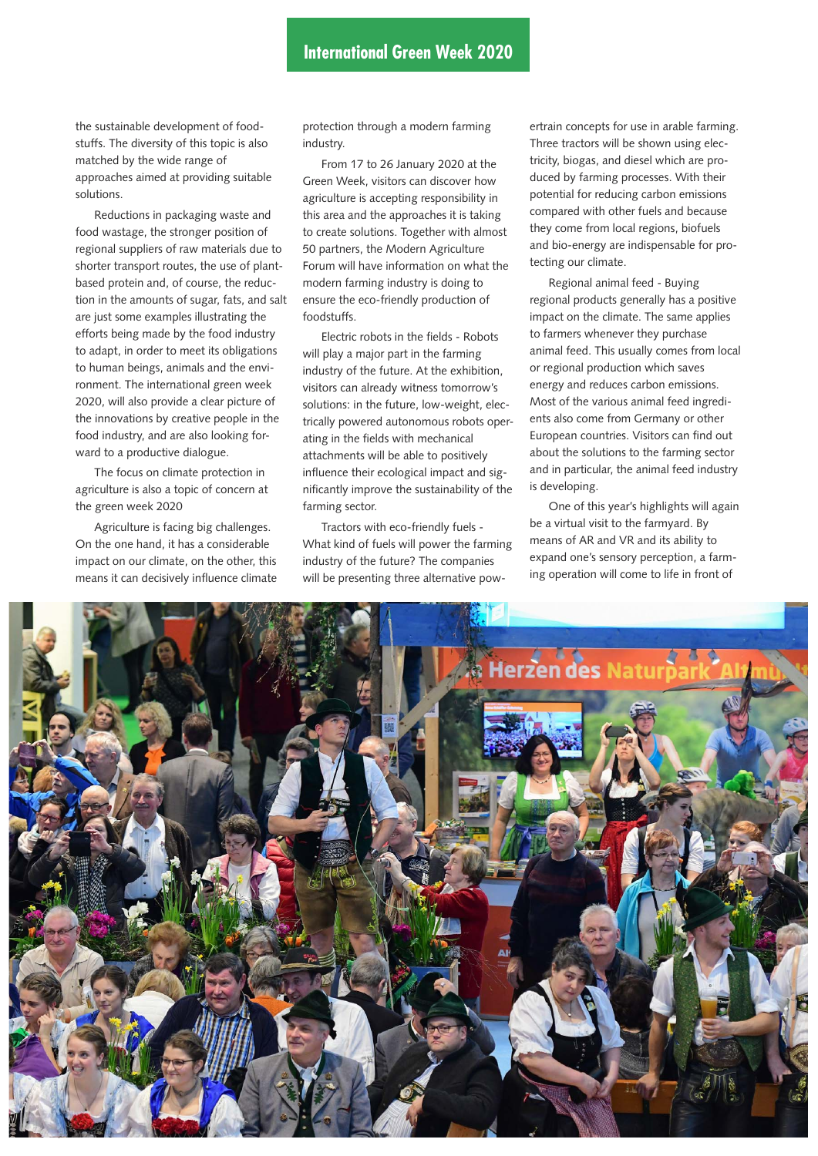the sustainable development of foodstuffs. The diversity of this topic is also matched by the wide range of approaches aimed at providing suitable solutions.

Reductions in packaging waste and food wastage, the stronger position of regional suppliers of raw materials due to shorter transport routes, the use of plantbased protein and, of course, the reduction in the amounts of sugar, fats, and salt are just some examples illustrating the efforts being made by the food industry to adapt, in order to meet its obligations to human beings, animals and the environment. The international green week 2020, will also provide a clear picture of the innovations by creative people in the food industry, and are also looking forward to a productive dialogue.

The focus on climate protection in agriculture is also a topic of concern at the green week 2020

Agriculture is facing big challenges. On the one hand, it has a considerable impact on our climate, on the other, this means it can decisively influence climate

protection through a modern farming industry.

From 17 to 26 January 2020 at the Green Week, visitors can discover how agriculture is accepting responsibility in this area and the approaches it is taking to create solutions. Together with almost 50 partners, the Modern Agriculture Forum will have information on what the modern farming industry is doing to ensure the eco-friendly production of foodstuffs.

Electric robots in the fields - Robots will play a major part in the farming industry of the future. At the exhibition, visitors can already witness tomorrow's solutions: in the future, low-weight, electrically powered autonomous robots operating in the fields with mechanical attachments will be able to positively influence their ecological impact and significantly improve the sustainability of the farming sector.

Tractors with eco-friendly fuels - What kind of fuels will power the farming industry of the future? The companies will be presenting three alternative pow-

ertrain concepts for use in arable farming. Three tractors will be shown using electricity, biogas, and diesel which are produced by farming processes. With their potential for reducing carbon emissions compared with other fuels and because they come from local regions, biofuels and bio-energy are indispensable for protecting our climate.

Regional animal feed - Buying regional products generally has a positive impact on the climate. The same applies to farmers whenever they purchase animal feed. This usually comes from local or regional production which saves energy and reduces carbon emissions. Most of the various animal feed ingredients also come from Germany or other European countries. Visitors can find out about the solutions to the farming sector and in particular, the animal feed industry is developing.

One of this year's highlights will again be a virtual visit to the farmyard. By means of AR and VR and its ability to expand one's sensory perception, a farming operation will come to life in front of